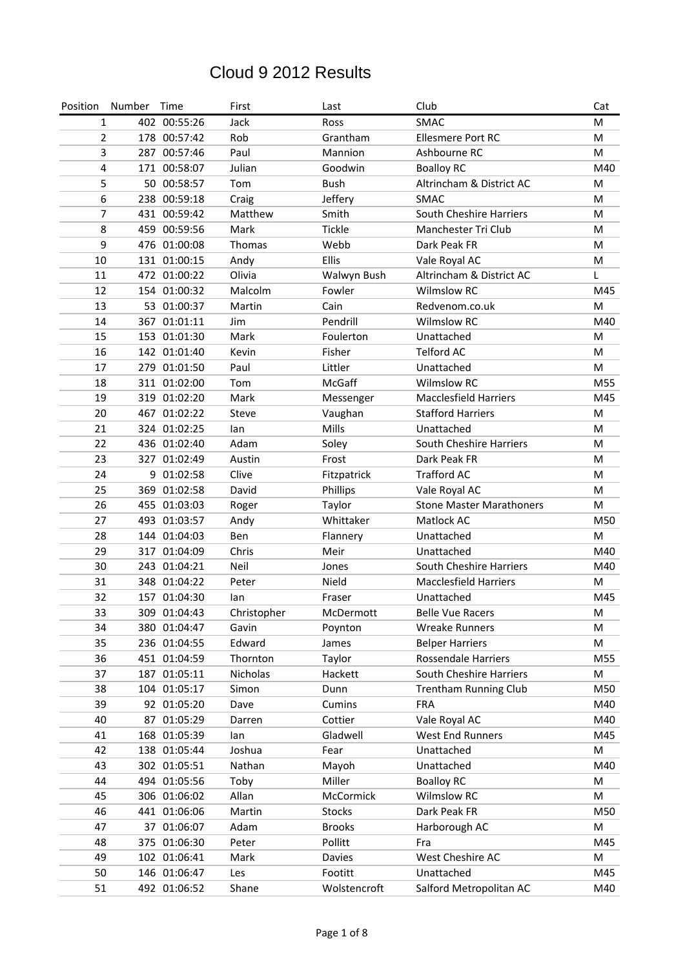| Position       | Number | Time         | First        | Last          | Club                            | Cat |
|----------------|--------|--------------|--------------|---------------|---------------------------------|-----|
| $\mathbf{1}$   |        | 402 00:55:26 | Jack         | Ross          | SMAC                            | M   |
| $\overline{2}$ |        | 178 00:57:42 | Rob          | Grantham      | <b>Ellesmere Port RC</b>        | M   |
| 3              |        | 287 00:57:46 | Paul         | Mannion       | Ashbourne RC                    | M   |
| 4              |        | 171 00:58:07 | Julian       | Goodwin       | <b>Boalloy RC</b>               | M40 |
| 5              |        | 50 00:58:57  | Tom          | <b>Bush</b>   | Altrincham & District AC        | M   |
| 6              |        | 238 00:59:18 | Craig        | Jeffery       | SMAC                            | M   |
| 7              |        | 431 00:59:42 | Matthew      | Smith         | South Cheshire Harriers         | M   |
| 8              |        | 459 00:59:56 | Mark         | <b>Tickle</b> | Manchester Tri Club             | M   |
| 9              |        | 476 01:00:08 | Thomas       | Webb          | Dark Peak FR                    | M   |
| 10             |        | 131 01:00:15 | Andy         | Ellis         | Vale Royal AC                   | M   |
| 11             |        | 472 01:00:22 | Olivia       | Walwyn Bush   | Altrincham & District AC        | L   |
| 12             |        | 154 01:00:32 | Malcolm      | Fowler        | <b>Wilmslow RC</b>              | M45 |
| 13             |        | 53 01:00:37  | Martin       | Cain          | Redvenom.co.uk                  | M   |
| 14             |        | 367 01:01:11 | Jim          | Pendrill      | <b>Wilmslow RC</b>              | M40 |
| 15             |        | 153 01:01:30 | Mark         | Foulerton     | Unattached                      | M   |
| 16             |        | 142 01:01:40 | Kevin        | Fisher        | <b>Telford AC</b>               | M   |
| 17             |        | 279 01:01:50 | Paul         | Littler       | Unattached                      | M   |
| 18             |        | 311 01:02:00 | Tom          | McGaff        | <b>Wilmslow RC</b>              | M55 |
| 19             |        | 319 01:02:20 | Mark         | Messenger     | <b>Macclesfield Harriers</b>    | M45 |
| 20             |        | 467 01:02:22 | <b>Steve</b> | Vaughan       | <b>Stafford Harriers</b>        | M   |
| 21             |        | 324 01:02:25 | lan          | Mills         | Unattached                      | M   |
| 22             |        | 436 01:02:40 | Adam         | Soley         | South Cheshire Harriers         | M   |
| 23             |        | 327 01:02:49 | Austin       | Frost         | Dark Peak FR                    | M   |
| 24             |        | 9 01:02:58   | Clive        | Fitzpatrick   | <b>Trafford AC</b>              | M   |
| 25             |        | 369 01:02:58 | David        | Phillips      | Vale Royal AC                   | M   |
| 26             |        | 455 01:03:03 | Roger        | Taylor        | <b>Stone Master Marathoners</b> | M   |
| 27             |        | 493 01:03:57 | Andy         | Whittaker     | Matlock AC                      | M50 |
| 28             |        | 144 01:04:03 | Ben          | Flannery      | Unattached                      | M   |
| 29             |        | 317 01:04:09 | Chris        | Meir          | Unattached                      | M40 |
| 30             |        | 243 01:04:21 | Neil         | Jones         | South Cheshire Harriers         | M40 |
| 31             |        | 348 01:04:22 | Peter        | Nield         | <b>Macclesfield Harriers</b>    | M   |
| 32             |        | 157 01:04:30 | lan          | Fraser        | Unattached                      | M45 |
| 33             |        | 309 01:04:43 | Christopher  | McDermott     | <b>Belle Vue Racers</b>         | M   |
| 34             |        | 380 01:04:47 | Gavin        | Poynton       | <b>Wreake Runners</b>           | M   |
| 35             |        | 236 01:04:55 | Edward       | James         | <b>Belper Harriers</b>          | M   |
| 36             |        | 451 01:04:59 | Thornton     | Taylor        | Rossendale Harriers             | M55 |
| 37             |        | 187 01:05:11 | Nicholas     | Hackett       | South Cheshire Harriers         | M   |
| 38             |        | 104 01:05:17 | Simon        | Dunn          | <b>Trentham Running Club</b>    | M50 |
| 39             |        | 92 01:05:20  | Dave         | Cumins        | <b>FRA</b>                      | M40 |
| 40             |        | 87 01:05:29  | Darren       | Cottier       | Vale Royal AC                   | M40 |
| 41             |        | 168 01:05:39 | lan          | Gladwell      | <b>West End Runners</b>         | M45 |
| 42             |        | 138 01:05:44 | Joshua       | Fear          | Unattached                      | M   |
| 43             |        | 302 01:05:51 | Nathan       | Mayoh         | Unattached                      | M40 |
| 44             |        | 494 01:05:56 | Toby         | Miller        | <b>Boalloy RC</b>               | M   |
| 45             |        | 306 01:06:02 | Allan        | McCormick     | Wilmslow RC                     | M   |
| 46             |        | 441 01:06:06 | Martin       | <b>Stocks</b> | Dark Peak FR                    | M50 |
| 47             |        | 37 01:06:07  | Adam         | <b>Brooks</b> | Harborough AC                   | M   |
| 48             |        | 375 01:06:30 | Peter        | Pollitt       | Fra                             | M45 |
| 49             |        | 102 01:06:41 | Mark         | Davies        | West Cheshire AC                | M   |
| 50             |        | 146 01:06:47 | Les          | Footitt       | Unattached                      | M45 |
| 51             |        | 492 01:06:52 | Shane        | Wolstencroft  | Salford Metropolitan AC         | M40 |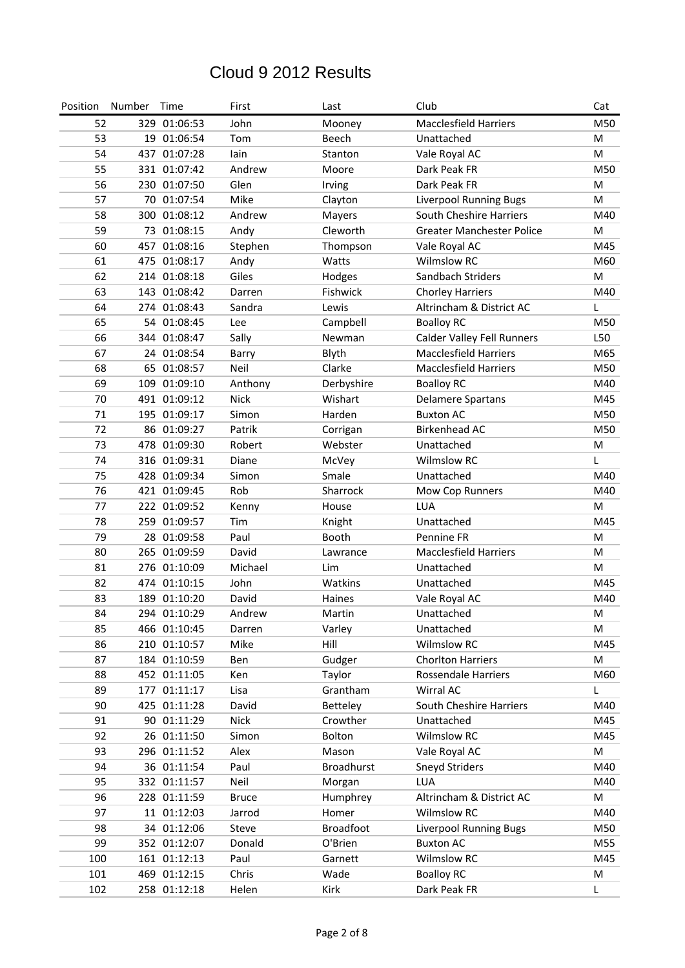| Position | Number | Time         | First        | Last              | Club                              | Cat |
|----------|--------|--------------|--------------|-------------------|-----------------------------------|-----|
| 52       |        | 329 01:06:53 | John         | Mooney            | <b>Macclesfield Harriers</b>      | M50 |
| 53       |        | 19 01:06:54  | Tom          | Beech             | Unattached                        | M   |
| 54       |        | 437 01:07:28 | lain         | Stanton           | Vale Royal AC                     | M   |
| 55       |        | 331 01:07:42 | Andrew       | Moore             | Dark Peak FR                      | M50 |
| 56       |        | 230 01:07:50 | Glen         | Irving            | Dark Peak FR                      | M   |
| 57       |        | 70 01:07:54  | Mike         | Clayton           | Liverpool Running Bugs            | M   |
| 58       |        | 300 01:08:12 | Andrew       | Mayers            | South Cheshire Harriers           | M40 |
| 59       |        | 73 01:08:15  | Andy         | Cleworth          | <b>Greater Manchester Police</b>  | M   |
| 60       |        | 457 01:08:16 | Stephen      | Thompson          | Vale Royal AC                     | M45 |
| 61       |        | 475 01:08:17 | Andy         | Watts             | <b>Wilmslow RC</b>                | M60 |
| 62       |        | 214 01:08:18 | Giles        | Hodges            | Sandbach Striders                 | M   |
| 63       |        | 143 01:08:42 | Darren       | Fishwick          | <b>Chorley Harriers</b>           | M40 |
| 64       |        | 274 01:08:43 | Sandra       | Lewis             | Altrincham & District AC          | L   |
| 65       |        | 54 01:08:45  | Lee          | Campbell          | <b>Boalloy RC</b>                 | M50 |
| 66       |        | 344 01:08:47 | Sally        | Newman            | <b>Calder Valley Fell Runners</b> | L50 |
| 67       |        | 24 01:08:54  | Barry        | Blyth             | <b>Macclesfield Harriers</b>      | M65 |
| 68       |        | 65 01:08:57  | Neil         | Clarke            | <b>Macclesfield Harriers</b>      | M50 |
| 69       |        | 109 01:09:10 | Anthony      | Derbyshire        | <b>Boalloy RC</b>                 | M40 |
| 70       |        | 491 01:09:12 | <b>Nick</b>  | Wishart           | <b>Delamere Spartans</b>          | M45 |
| 71       |        | 195 01:09:17 | Simon        | Harden            | <b>Buxton AC</b>                  | M50 |
| 72       |        | 86 01:09:27  | Patrik       | Corrigan          | <b>Birkenhead AC</b>              | M50 |
| 73       |        | 478 01:09:30 | Robert       | Webster           | Unattached                        | M   |
| 74       |        | 316 01:09:31 | Diane        | McVey             | <b>Wilmslow RC</b>                | L   |
| 75       |        | 428 01:09:34 | Simon        | Smale             | Unattached                        | M40 |
| 76       |        | 421 01:09:45 | Rob          | Sharrock          | Mow Cop Runners                   | M40 |
| 77       |        | 222 01:09:52 | Kenny        | House             | <b>LUA</b>                        | M   |
| 78       |        | 259 01:09:57 | Tim          | Knight            | Unattached                        | M45 |
| 79       |        | 28 01:09:58  | Paul         | Booth             | Pennine FR                        | M   |
| 80       |        | 265 01:09:59 | David        | Lawrance          | <b>Macclesfield Harriers</b>      | M   |
| 81       |        | 276 01:10:09 | Michael      | Lim               | Unattached                        | M   |
| 82       |        | 474 01:10:15 | John         | Watkins           | Unattached                        | M45 |
| 83       |        | 189 01:10:20 | David        | Haines            | Vale Royal AC                     | M40 |
| 84       |        | 294 01:10:29 | Andrew       | Martin            | Unattached                        | M   |
| 85       |        | 466 01:10:45 | Darren       | Varley            | Unattached                        | М   |
| 86       |        | 210 01:10:57 | Mike         | Hill              | <b>Wilmslow RC</b>                | M45 |
| 87       |        | 184 01:10:59 | Ben          | Gudger            | <b>Chorlton Harriers</b>          | M   |
| 88       |        | 452 01:11:05 | Ken          | Taylor            | Rossendale Harriers               | M60 |
| 89       |        | 177 01:11:17 | Lisa         | Grantham          | Wirral AC                         | L   |
| 90       |        | 425 01:11:28 | David        | Betteley          | South Cheshire Harriers           | M40 |
| 91       |        | 90 01:11:29  | <b>Nick</b>  | Crowther          | Unattached                        | M45 |
| 92       |        | 26 01:11:50  | Simon        | Bolton            | Wilmslow RC                       | M45 |
| 93       |        | 296 01:11:52 | Alex         | Mason             | Vale Royal AC                     | M   |
| 94       |        | 36 01:11:54  | Paul         | <b>Broadhurst</b> | Sneyd Striders                    | M40 |
| 95       |        | 332 01:11:57 | Neil         | Morgan            | <b>LUA</b>                        | M40 |
| 96       |        | 228 01:11:59 | <b>Bruce</b> | Humphrey          | Altrincham & District AC          | M   |
| 97       |        | 11 01:12:03  | Jarrod       | Homer             | <b>Wilmslow RC</b>                | M40 |
| 98       |        | 34 01:12:06  | Steve        | <b>Broadfoot</b>  | <b>Liverpool Running Bugs</b>     | M50 |
| 99       |        | 352 01:12:07 | Donald       | O'Brien           | <b>Buxton AC</b>                  | M55 |
| 100      |        | 161 01:12:13 | Paul         | Garnett           | Wilmslow RC                       | M45 |
| 101      |        | 469 01:12:15 | Chris        | Wade              | <b>Boalloy RC</b>                 | M   |
| 102      |        | 258 01:12:18 | Helen        | Kirk              | Dark Peak FR                      | L   |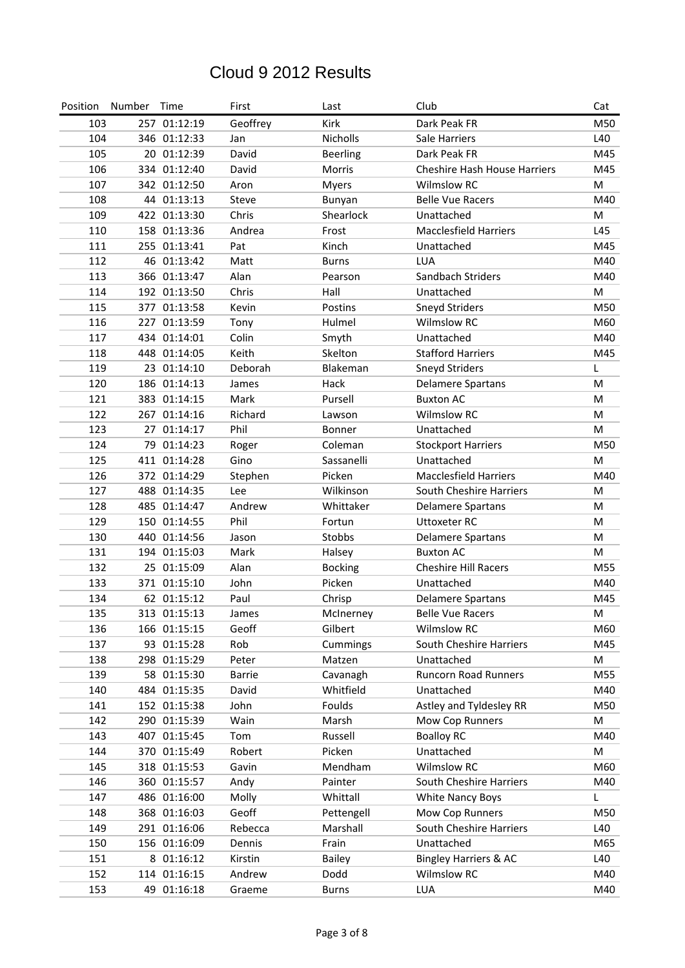| Position | Number | Time         | First         | Last            | Club                                | Cat |
|----------|--------|--------------|---------------|-----------------|-------------------------------------|-----|
| 103      |        | 257 01:12:19 | Geoffrey      | Kirk            | Dark Peak FR                        | M50 |
| 104      |        | 346 01:12:33 | Jan           | Nicholls        | Sale Harriers                       | L40 |
| 105      |        | 20 01:12:39  | David         | <b>Beerling</b> | Dark Peak FR                        | M45 |
| 106      |        | 334 01:12:40 | David         | <b>Morris</b>   | <b>Cheshire Hash House Harriers</b> | M45 |
| 107      |        | 342 01:12:50 | Aron          | <b>Myers</b>    | <b>Wilmslow RC</b>                  | M   |
| 108      |        | 44 01:13:13  | Steve         | Bunyan          | <b>Belle Vue Racers</b>             | M40 |
| 109      |        | 422 01:13:30 | Chris         | Shearlock       | Unattached                          | M   |
| 110      |        | 158 01:13:36 | Andrea        | Frost           | <b>Macclesfield Harriers</b>        | L45 |
| 111      |        | 255 01:13:41 | Pat           | Kinch           | Unattached                          | M45 |
| 112      |        | 46 01:13:42  | Matt          | <b>Burns</b>    | <b>LUA</b>                          | M40 |
| 113      |        | 366 01:13:47 | Alan          | Pearson         | Sandbach Striders                   | M40 |
| 114      |        | 192 01:13:50 | Chris         | Hall            | Unattached                          | M   |
| 115      |        | 377 01:13:58 | Kevin         | Postins         | <b>Sneyd Striders</b>               | M50 |
| 116      |        | 227 01:13:59 | Tony          | Hulmel          | <b>Wilmslow RC</b>                  | M60 |
| 117      |        | 434 01:14:01 | Colin         | Smyth           | Unattached                          | M40 |
| 118      |        | 448 01:14:05 | Keith         | Skelton         | <b>Stafford Harriers</b>            | M45 |
| 119      |        | 23 01:14:10  | Deborah       | Blakeman        | <b>Sneyd Striders</b>               | L   |
| 120      |        | 186 01:14:13 | James         | Hack            | <b>Delamere Spartans</b>            | M   |
| 121      |        | 383 01:14:15 | Mark          | Pursell         | <b>Buxton AC</b>                    | M   |
| 122      |        | 267 01:14:16 | Richard       | Lawson          | <b>Wilmslow RC</b>                  | M   |
| 123      | 27     | 01:14:17     | Phil          | Bonner          | Unattached                          | M   |
| 124      | 79     | 01:14:23     | Roger         | Coleman         | <b>Stockport Harriers</b>           | M50 |
| 125      |        | 411 01:14:28 | Gino          | Sassanelli      | Unattached                          | M   |
| 126      |        | 372 01:14:29 | Stephen       | Picken          | <b>Macclesfield Harriers</b>        | M40 |
| 127      |        | 488 01:14:35 | Lee           | Wilkinson       | South Cheshire Harriers             | M   |
| 128      |        | 485 01:14:47 | Andrew        | Whittaker       | <b>Delamere Spartans</b>            | M   |
| 129      |        | 150 01:14:55 | Phil          | Fortun          | <b>Uttoxeter RC</b>                 | M   |
| 130      |        | 440 01:14:56 | Jason         | Stobbs          | <b>Delamere Spartans</b>            | M   |
| 131      |        | 194 01:15:03 | Mark          | Halsey          | <b>Buxton AC</b>                    | м   |
| 132      |        | 25 01:15:09  | Alan          | <b>Bocking</b>  | <b>Cheshire Hill Racers</b>         | M55 |
| 133      |        | 371 01:15:10 | John          | Picken          | Unattached                          | M40 |
| 134      |        | 62 01:15:12  | Paul          | Chrisp          | <b>Delamere Spartans</b>            | M45 |
| 135      |        | 313 01:15:13 | James         | McInerney       | <b>Belle Vue Racers</b>             | M   |
| 136      |        | 166 01:15:15 | Geoff         | Gilbert         | <b>Wilmslow RC</b>                  | M60 |
| 137      |        | 93 01:15:28  | Rob           | Cummings        | South Cheshire Harriers             | M45 |
| 138      |        | 298 01:15:29 | Peter         | Matzen          | Unattached                          | M   |
| 139      |        | 58 01:15:30  | <b>Barrie</b> | Cavanagh        | Runcorn Road Runners                | M55 |
| 140      |        | 484 01:15:35 | David         | Whitfield       | Unattached                          | M40 |
| 141      |        | 152 01:15:38 | John          | Foulds          | Astley and Tyldesley RR             | M50 |
| 142      |        | 290 01:15:39 | Wain          | Marsh           | Mow Cop Runners                     | M   |
| 143      |        | 407 01:15:45 | Tom           | Russell         | <b>Boalloy RC</b>                   | M40 |
| 144      |        | 370 01:15:49 | Robert        | Picken          | Unattached                          | M   |
| 145      |        | 318 01:15:53 | Gavin         | Mendham         | Wilmslow RC                         | M60 |
| 146      |        | 360 01:15:57 | Andy          | Painter         | South Cheshire Harriers             | M40 |
| 147      |        | 486 01:16:00 | Molly         | Whittall        | White Nancy Boys                    | L   |
| 148      |        | 368 01:16:03 | Geoff         | Pettengell      | Mow Cop Runners                     | M50 |
| 149      |        | 291 01:16:06 | Rebecca       | Marshall        | South Cheshire Harriers             | L40 |
| 150      |        | 156 01:16:09 | Dennis        | Frain           | Unattached                          | M65 |
| 151      |        | 8 01:16:12   | Kirstin       | <b>Bailey</b>   | <b>Bingley Harriers &amp; AC</b>    | L40 |
| 152      |        | 114 01:16:15 | Andrew        | Dodd            | <b>Wilmslow RC</b>                  | M40 |
| 153      |        | 49 01:16:18  | Graeme        | <b>Burns</b>    | LUA                                 | M40 |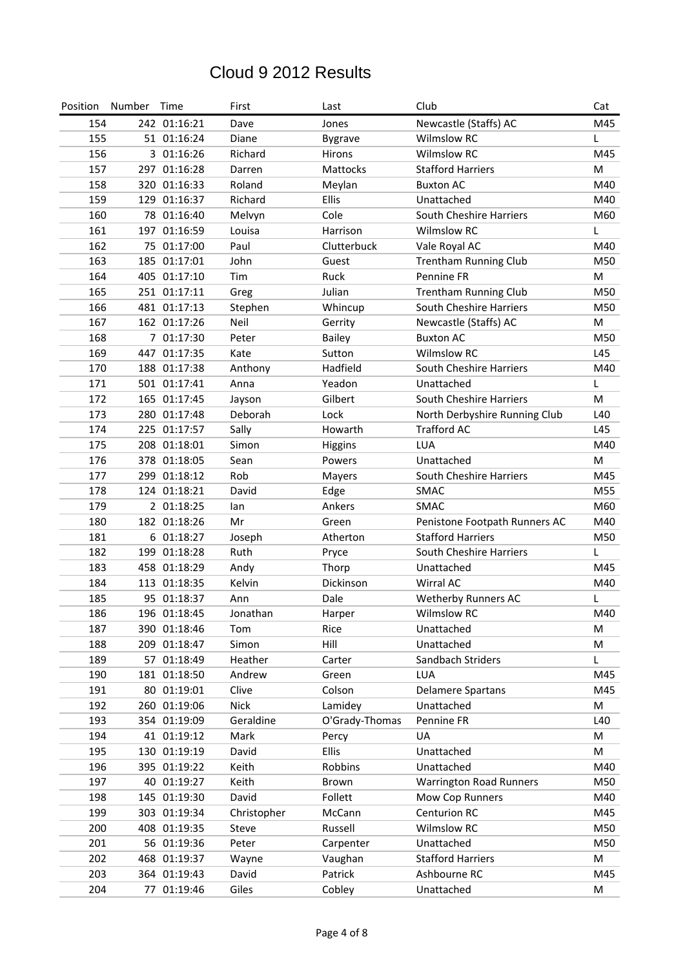| Position | Number | Time         | First       | Last            | Club                           | Cat |
|----------|--------|--------------|-------------|-----------------|--------------------------------|-----|
| 154      |        | 242 01:16:21 | Dave        | Jones           | Newcastle (Staffs) AC          | M45 |
| 155      |        | 51 01:16:24  | Diane       | <b>Bygrave</b>  | <b>Wilmslow RC</b>             | L   |
| 156      |        | 3 01:16:26   | Richard     | Hirons          | <b>Wilmslow RC</b>             | M45 |
| 157      |        | 297 01:16:28 | Darren      | <b>Mattocks</b> | <b>Stafford Harriers</b>       | М   |
| 158      |        | 320 01:16:33 | Roland      | Meylan          | <b>Buxton AC</b>               | M40 |
| 159      |        | 129 01:16:37 | Richard     | Ellis           | Unattached                     | M40 |
| 160      |        | 78 01:16:40  | Melvyn      | Cole            | South Cheshire Harriers        | M60 |
| 161      |        | 197 01:16:59 | Louisa      | Harrison        | <b>Wilmslow RC</b>             | L   |
| 162      |        | 75 01:17:00  | Paul        | Clutterbuck     | Vale Royal AC                  | M40 |
| 163      |        | 185 01:17:01 | John        | Guest           | <b>Trentham Running Club</b>   | M50 |
| 164      |        | 405 01:17:10 | Tim         | Ruck            | Pennine FR                     | M   |
| 165      |        | 251 01:17:11 | Greg        | Julian          | <b>Trentham Running Club</b>   | M50 |
| 166      |        | 481 01:17:13 | Stephen     | Whincup         | South Cheshire Harriers        | M50 |
| 167      |        | 162 01:17:26 | Neil        | Gerrity         | Newcastle (Staffs) AC          | M   |
| 168      |        | 7 01:17:30   | Peter       | <b>Bailey</b>   | <b>Buxton AC</b>               | M50 |
| 169      |        | 447 01:17:35 | Kate        | Sutton          | <b>Wilmslow RC</b>             | L45 |
| 170      |        | 188 01:17:38 | Anthony     | Hadfield        | South Cheshire Harriers        | M40 |
| 171      |        | 501 01:17:41 | Anna        | Yeadon          | Unattached                     | L   |
| 172      |        | 165 01:17:45 | Jayson      | Gilbert         | South Cheshire Harriers        | M   |
| 173      |        | 280 01:17:48 | Deborah     | Lock            | North Derbyshire Running Club  | L40 |
| 174      |        | 225 01:17:57 | Sally       | Howarth         | <b>Trafford AC</b>             | L45 |
| 175      |        | 208 01:18:01 | Simon       | Higgins         | <b>LUA</b>                     | M40 |
| 176      |        | 378 01:18:05 | Sean        | Powers          | Unattached                     | M   |
| 177      |        | 299 01:18:12 | Rob         | Mayers          | South Cheshire Harriers        | M45 |
| 178      |        | 124 01:18:21 | David       | Edge            | SMAC                           | M55 |
| 179      |        | 2 01:18:25   | lan         | Ankers          | SMAC                           | M60 |
| 180      |        | 182 01:18:26 | Mr          | Green           | Penistone Footpath Runners AC  | M40 |
| 181      |        | 6 01:18:27   | Joseph      | Atherton        | <b>Stafford Harriers</b>       | M50 |
| 182      |        | 199 01:18:28 | Ruth        | Pryce           | South Cheshire Harriers        | L   |
| 183      |        | 458 01:18:29 | Andy        | Thorp           | Unattached                     | M45 |
| 184      |        | 113 01:18:35 | Kelvin      | Dickinson       | Wirral AC                      | M40 |
| 185      |        | 95 01:18:37  | Ann         | Dale            | <b>Wetherby Runners AC</b>     | L   |
| 186      |        | 196 01:18:45 | Jonathan    | Harper          | <b>Wilmslow RC</b>             | M40 |
| 187      |        | 390 01:18:46 | Tom         | Rice            | Unattached                     | M   |
| 188      |        | 209 01:18:47 | Simon       | Hill            | Unattached                     | M   |
| 189      |        | 57 01:18:49  | Heather     | Carter          | Sandbach Striders              | L   |
| 190      |        | 181 01:18:50 | Andrew      | Green           | <b>LUA</b>                     | M45 |
| 191      |        | 80 01:19:01  | Clive       | Colson          | <b>Delamere Spartans</b>       | M45 |
| 192      |        | 260 01:19:06 | <b>Nick</b> | Lamidey         | Unattached                     | M   |
| 193      |        | 354 01:19:09 | Geraldine   | O'Grady-Thomas  | Pennine FR                     | L40 |
| 194      |        | 41 01:19:12  | Mark        | Percy           | UA                             | M   |
| 195      |        | 130 01:19:19 | David       | Ellis           | Unattached                     | M   |
| 196      |        | 395 01:19:22 | Keith       | Robbins         | Unattached                     | M40 |
| 197      |        | 40 01:19:27  | Keith       | Brown           | <b>Warrington Road Runners</b> | M50 |
| 198      |        | 145 01:19:30 | David       | Follett         | Mow Cop Runners                | M40 |
| 199      |        | 303 01:19:34 | Christopher | McCann          | Centurion RC                   | M45 |
| 200      |        | 408 01:19:35 | Steve       | Russell         | Wilmslow RC                    | M50 |
| 201      |        | 56 01:19:36  | Peter       | Carpenter       | Unattached                     | M50 |
| 202      |        | 468 01:19:37 | Wayne       | Vaughan         | <b>Stafford Harriers</b>       | M   |
| 203      |        | 364 01:19:43 | David       | Patrick         | Ashbourne RC                   | M45 |
| 204      |        | 77 01:19:46  | Giles       | Cobley          | Unattached                     | M   |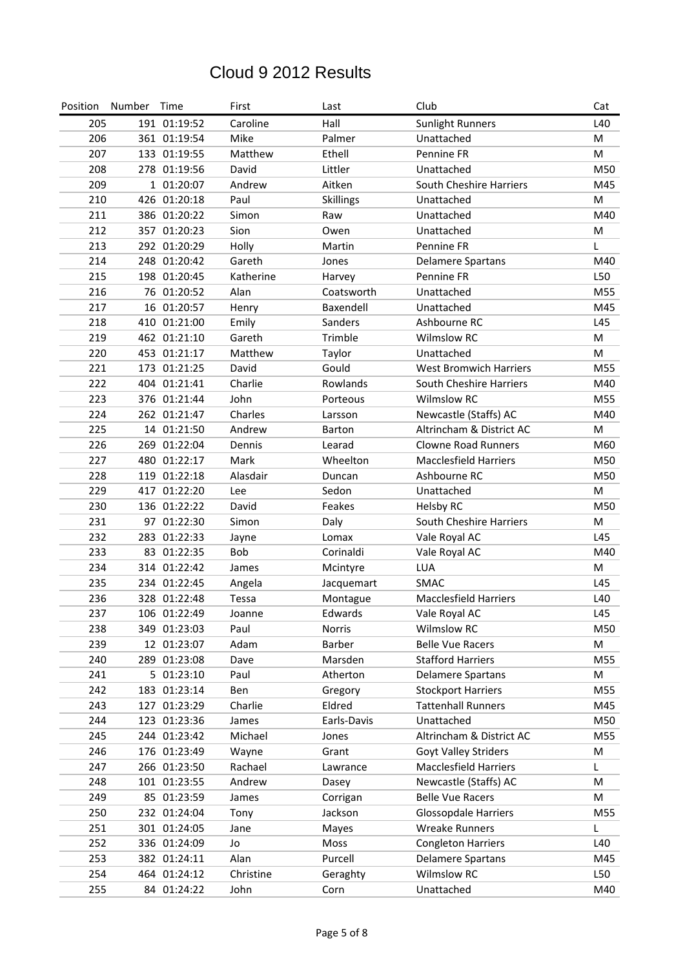| Position | Number Time |              | First     | Last             | Club                          | Cat |
|----------|-------------|--------------|-----------|------------------|-------------------------------|-----|
| 205      |             | 191 01:19:52 | Caroline  | Hall             | <b>Sunlight Runners</b>       | L40 |
| 206      |             | 361 01:19:54 | Mike      | Palmer           | Unattached                    | M   |
| 207      |             | 133 01:19:55 | Matthew   | Ethell           | Pennine FR                    | M   |
| 208      |             | 278 01:19:56 | David     | Littler          | Unattached                    | M50 |
| 209      |             | 1 01:20:07   | Andrew    | Aitken           | South Cheshire Harriers       | M45 |
| 210      |             | 426 01:20:18 | Paul      | <b>Skillings</b> | Unattached                    | M   |
| 211      |             | 386 01:20:22 | Simon     | Raw              | Unattached                    | M40 |
| 212      |             | 357 01:20:23 | Sion      | Owen             | Unattached                    | M   |
| 213      |             | 292 01:20:29 | Holly     | Martin           | Pennine FR                    | L   |
| 214      |             | 248 01:20:42 | Gareth    | Jones            | <b>Delamere Spartans</b>      | M40 |
| 215      |             | 198 01:20:45 | Katherine | Harvey           | Pennine FR                    | L50 |
| 216      |             | 76 01:20:52  | Alan      | Coatsworth       | Unattached                    | M55 |
| 217      |             | 16 01:20:57  | Henry     | Baxendell        | Unattached                    | M45 |
| 218      |             | 410 01:21:00 | Emily     | Sanders          | Ashbourne RC                  | L45 |
| 219      |             | 462 01:21:10 | Gareth    | Trimble          | <b>Wilmslow RC</b>            | M   |
| 220      |             | 453 01:21:17 | Matthew   | Taylor           | Unattached                    | M   |
| 221      |             | 173 01:21:25 | David     | Gould            | <b>West Bromwich Harriers</b> | M55 |
| 222      |             | 404 01:21:41 | Charlie   | Rowlands         | South Cheshire Harriers       | M40 |
| 223      |             | 376 01:21:44 | John      | Porteous         | <b>Wilmslow RC</b>            | M55 |
| 224      |             | 262 01:21:47 | Charles   | Larsson          | Newcastle (Staffs) AC         | M40 |
| 225      |             | 14 01:21:50  | Andrew    | <b>Barton</b>    | Altrincham & District AC      | M   |
| 226      |             | 269 01:22:04 | Dennis    | Learad           | <b>Clowne Road Runners</b>    | M60 |
| 227      |             | 480 01:22:17 | Mark      | Wheelton         | <b>Macclesfield Harriers</b>  | M50 |
| 228      |             | 119 01:22:18 | Alasdair  | Duncan           | Ashbourne RC                  | M50 |
| 229      |             | 417 01:22:20 | Lee       | Sedon            | Unattached                    | M   |
| 230      |             | 136 01:22:22 | David     | Feakes           | Helsby RC                     | M50 |
| 231      |             | 97 01:22:30  | Simon     | Daly             | South Cheshire Harriers       | M   |
| 232      |             | 283 01:22:33 | Jayne     | Lomax            | Vale Royal AC                 | L45 |
| 233      |             | 83 01:22:35  | Bob       | Corinaldi        | Vale Royal AC                 | M40 |
| 234      |             | 314 01:22:42 | James     | Mcintyre         | LUA                           | M   |
| 235      |             | 234 01:22:45 | Angela    | Jacquemart       | <b>SMAC</b>                   | L45 |
| 236      |             | 328 01:22:48 | Tessa     | Montague         | <b>Macclesfield Harriers</b>  | L40 |
| 237      |             | 106 01:22:49 | Joanne    | Edwards          | Vale Royal AC                 | L45 |
| 238      |             | 349 01:23:03 | Paul      | <b>Norris</b>    | <b>Wilmslow RC</b>            | M50 |
| 239      |             | 12 01:23:07  | Adam      | Barber           | <b>Belle Vue Racers</b>       | M   |
| 240      |             | 289 01:23:08 | Dave      | Marsden          | <b>Stafford Harriers</b>      | M55 |
| 241      |             | 5 01:23:10   | Paul      | Atherton         | <b>Delamere Spartans</b>      | M   |
| 242      |             | 183 01:23:14 | Ben       | Gregory          | <b>Stockport Harriers</b>     | M55 |
| 243      |             | 127 01:23:29 | Charlie   | Eldred           | <b>Tattenhall Runners</b>     | M45 |
| 244      |             | 123 01:23:36 | James     | Earls-Davis      | Unattached                    | M50 |
| 245      |             | 244 01:23:42 | Michael   | Jones            | Altrincham & District AC      | M55 |
| 246      |             | 176 01:23:49 | Wayne     | Grant            | Goyt Valley Striders          | M   |
| 247      |             | 266 01:23:50 | Rachael   | Lawrance         | <b>Macclesfield Harriers</b>  | L   |
| 248      |             | 101 01:23:55 | Andrew    | Dasey            | Newcastle (Staffs) AC         | M   |
| 249      |             | 85 01:23:59  | James     | Corrigan         | <b>Belle Vue Racers</b>       | M   |
| 250      |             | 232 01:24:04 | Tony      | Jackson          | <b>Glossopdale Harriers</b>   | M55 |
| 251      |             | 301 01:24:05 | Jane      | Mayes            | <b>Wreake Runners</b>         | L   |
| 252      |             | 336 01:24:09 | Jo        | Moss             | <b>Congleton Harriers</b>     | L40 |
| 253      |             | 382 01:24:11 | Alan      | Purcell          | <b>Delamere Spartans</b>      | M45 |
| 254      |             | 464 01:24:12 | Christine | Geraghty         | Wilmslow RC                   | L50 |
| 255      |             | 84 01:24:22  | John      | Corn             | Unattached                    | M40 |
|          |             |              |           |                  |                               |     |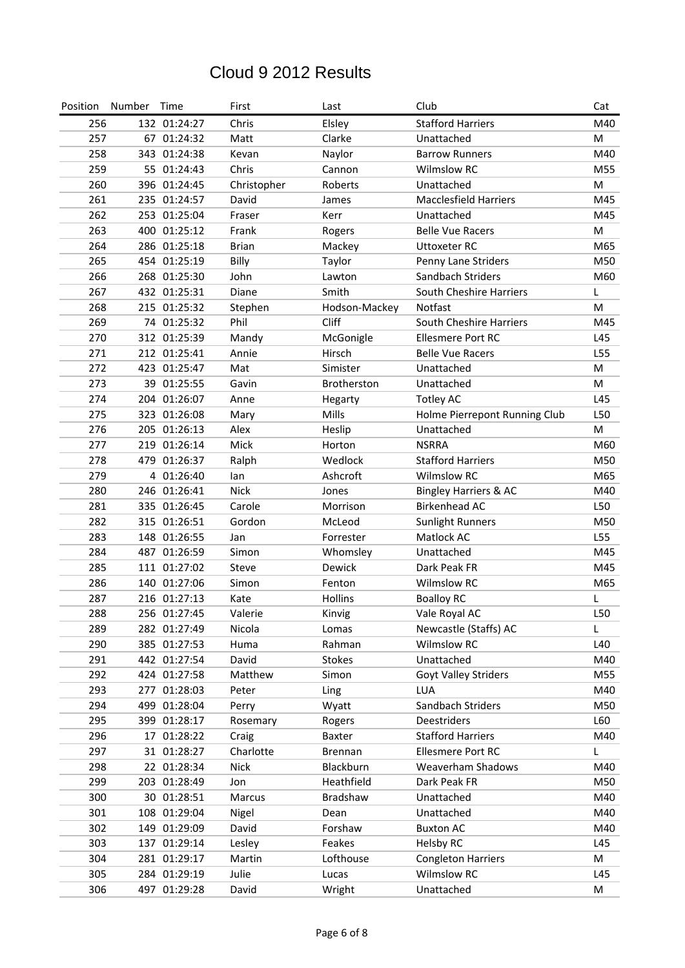| Position | Number | Time         | First        | Last           | Club                             | Cat |
|----------|--------|--------------|--------------|----------------|----------------------------------|-----|
| 256      |        | 132 01:24:27 | Chris        | Elsley         | <b>Stafford Harriers</b>         | M40 |
| 257      |        | 67 01:24:32  | Matt         | Clarke         | Unattached                       | M   |
| 258      |        | 343 01:24:38 | Kevan        | Naylor         | <b>Barrow Runners</b>            | M40 |
| 259      |        | 55 01:24:43  | Chris        | Cannon         | <b>Wilmslow RC</b>               | M55 |
| 260      |        | 396 01:24:45 | Christopher  | Roberts        | Unattached                       | M   |
| 261      |        | 235 01:24:57 | David        | James          | <b>Macclesfield Harriers</b>     | M45 |
| 262      |        | 253 01:25:04 | Fraser       | Kerr           | Unattached                       | M45 |
| 263      |        | 400 01:25:12 | Frank        | Rogers         | <b>Belle Vue Racers</b>          | M   |
| 264      |        | 286 01:25:18 | <b>Brian</b> | Mackey         | <b>Uttoxeter RC</b>              | M65 |
| 265      |        | 454 01:25:19 | Billy        | Taylor         | Penny Lane Striders              | M50 |
| 266      |        | 268 01:25:30 | John         | Lawton         | Sandbach Striders                | M60 |
| 267      |        | 432 01:25:31 | Diane        | Smith          | South Cheshire Harriers          | L   |
| 268      |        | 215 01:25:32 | Stephen      | Hodson-Mackey  | Notfast                          | M   |
| 269      |        | 74 01:25:32  | Phil         | Cliff          | South Cheshire Harriers          | M45 |
| 270      |        | 312 01:25:39 | Mandy        | McGonigle      | <b>Ellesmere Port RC</b>         | L45 |
| 271      |        | 212 01:25:41 | Annie        | Hirsch         | <b>Belle Vue Racers</b>          | L55 |
| 272      |        | 423 01:25:47 | Mat          | Simister       | Unattached                       | M   |
| 273      |        | 39 01:25:55  | Gavin        | Brotherston    | Unattached                       | M   |
| 274      |        | 204 01:26:07 | Anne         | Hegarty        | <b>Totley AC</b>                 | L45 |
| 275      |        | 323 01:26:08 | Mary         | Mills          | Holme Pierrepont Running Club    | L50 |
| 276      |        | 205 01:26:13 | Alex         | Heslip         | Unattached                       | M   |
| 277      |        | 219 01:26:14 | Mick         | Horton         | <b>NSRRA</b>                     | M60 |
| 278      |        | 479 01:26:37 | Ralph        | Wedlock        | <b>Stafford Harriers</b>         | M50 |
| 279      |        | 4 01:26:40   | lan          | Ashcroft       | <b>Wilmslow RC</b>               | M65 |
| 280      |        | 246 01:26:41 | <b>Nick</b>  | Jones          | <b>Bingley Harriers &amp; AC</b> | M40 |
| 281      |        | 335 01:26:45 | Carole       | Morrison       | <b>Birkenhead AC</b>             | L50 |
| 282      |        | 315 01:26:51 | Gordon       | McLeod         | <b>Sunlight Runners</b>          | M50 |
| 283      |        | 148 01:26:55 | Jan          | Forrester      | Matlock AC                       | L55 |
| 284      |        | 487 01:26:59 | Simon        | Whomsley       | Unattached                       | M45 |
| 285      |        | 111 01:27:02 | Steve        | Dewick         | Dark Peak FR                     | M45 |
| 286      |        | 140 01:27:06 | Simon        | Fenton         | <b>Wilmslow RC</b>               | M65 |
| 287      |        | 216 01:27:13 | Kate         | Hollins        | <b>Boalloy RC</b>                | L   |
| 288      |        | 256 01:27:45 | Valerie      | Kinvig         | Vale Royal AC                    | L50 |
| 289      |        | 282 01:27:49 | Nicola       | Lomas          | Newcastle (Staffs) AC            | L   |
| 290      |        | 385 01:27:53 | Huma         | Rahman         | Wilmslow RC                      | L40 |
| 291      |        | 442 01:27:54 | David        | <b>Stokes</b>  | Unattached                       | M40 |
| 292      |        | 424 01:27:58 | Matthew      | Simon          | Goyt Valley Striders             | M55 |
| 293      |        | 277 01:28:03 | Peter        | Ling           | LUA                              | M40 |
| 294      |        | 499 01:28:04 | Perry        | Wyatt          | Sandbach Striders                | M50 |
| 295      |        | 399 01:28:17 | Rosemary     | Rogers         | Deestriders                      | L60 |
| 296      |        | 17 01:28:22  | Craig        | Baxter         | <b>Stafford Harriers</b>         | M40 |
| 297      |        | 31 01:28:27  | Charlotte    | <b>Brennan</b> | <b>Ellesmere Port RC</b>         | L   |
| 298      |        | 22 01:28:34  | <b>Nick</b>  | Blackburn      | Weaverham Shadows                | M40 |
| 299      |        | 203 01:28:49 | Jon          | Heathfield     | Dark Peak FR                     | M50 |
| 300      |        | 30 01:28:51  | Marcus       | Bradshaw       | Unattached                       | M40 |
| 301      |        | 108 01:29:04 | Nigel        | Dean           | Unattached                       | M40 |
| 302      |        | 149 01:29:09 | David        | Forshaw        | <b>Buxton AC</b>                 | M40 |
| 303      |        | 137 01:29:14 | Lesley       | Feakes         | <b>Helsby RC</b>                 | L45 |
| 304      |        | 281 01:29:17 | Martin       | Lofthouse      | <b>Congleton Harriers</b>        | M   |
| 305      |        | 284 01:29:19 | Julie        | Lucas          | <b>Wilmslow RC</b>               | L45 |
| 306      |        | 497 01:29:28 | David        | Wright         | Unattached                       | M   |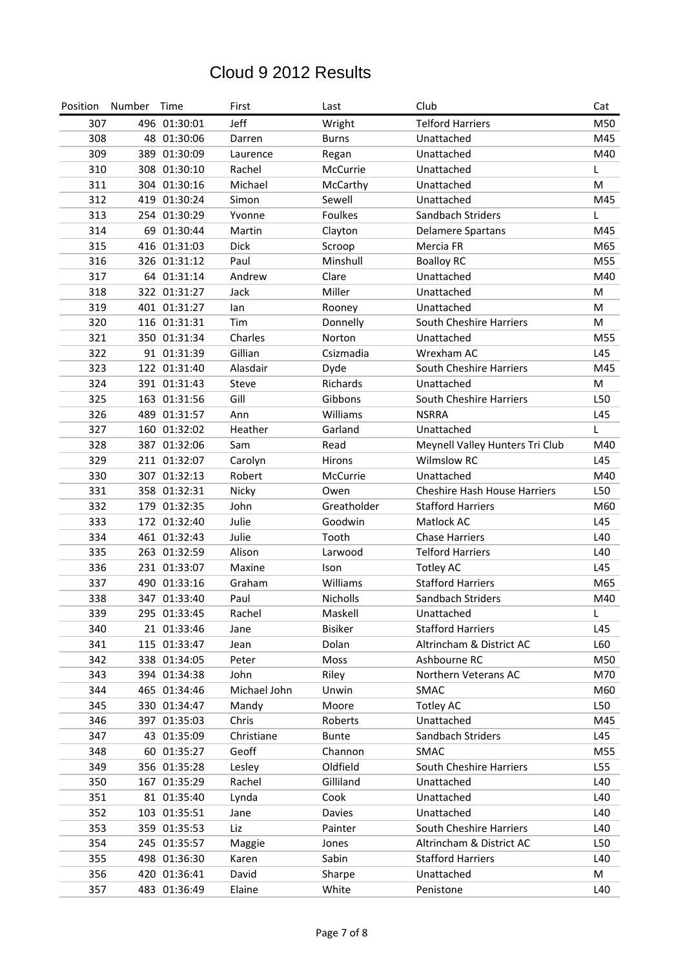| Position | Number | Time         | First        | Last            | Club                                | Cat |
|----------|--------|--------------|--------------|-----------------|-------------------------------------|-----|
| 307      |        | 496 01:30:01 | Jeff         | Wright          | <b>Telford Harriers</b>             | M50 |
| 308      |        | 48 01:30:06  | Darren       | <b>Burns</b>    | Unattached                          | M45 |
| 309      |        | 389 01:30:09 | Laurence     | Regan           | Unattached                          | M40 |
| 310      |        | 308 01:30:10 | Rachel       | McCurrie        | Unattached                          | L   |
| 311      |        | 304 01:30:16 | Michael      | McCarthy        | Unattached                          | M   |
| 312      |        | 419 01:30:24 | Simon        | Sewell          | Unattached                          | M45 |
| 313      |        | 254 01:30:29 | Yvonne       | <b>Foulkes</b>  | Sandbach Striders                   | T   |
| 314      |        | 69 01:30:44  | Martin       | Clayton         | <b>Delamere Spartans</b>            | M45 |
| 315      |        | 416 01:31:03 | <b>Dick</b>  | Scroop          | Mercia FR                           | M65 |
| 316      |        | 326 01:31:12 | Paul         | Minshull        | <b>Boalloy RC</b>                   | M55 |
| 317      |        | 64 01:31:14  | Andrew       | Clare           | Unattached                          | M40 |
| 318      |        | 322 01:31:27 | Jack         | Miller          | Unattached                          | M   |
| 319      |        | 401 01:31:27 | lan          | Rooney          | Unattached                          | M   |
| 320      |        | 116 01:31:31 | Tim          | Donnelly        | South Cheshire Harriers             | М   |
| 321      |        | 350 01:31:34 | Charles      | Norton          | Unattached                          | M55 |
| 322      |        | 91 01:31:39  | Gillian      | Csizmadia       | Wrexham AC                          | L45 |
| 323      |        | 122 01:31:40 | Alasdair     | Dyde            | South Cheshire Harriers             | M45 |
| 324      |        | 391 01:31:43 | <b>Steve</b> | Richards        | Unattached                          | M   |
| 325      |        | 163 01:31:56 | Gill         | Gibbons         | South Cheshire Harriers             | L50 |
| 326      |        | 489 01:31:57 | Ann          | Williams        | <b>NSRRA</b>                        | L45 |
| 327      |        | 160 01:32:02 | Heather      | Garland         | Unattached                          | L   |
| 328      |        | 387 01:32:06 | Sam          | Read            | Meynell Valley Hunters Tri Club     | M40 |
| 329      |        | 211 01:32:07 | Carolyn      | Hirons          | <b>Wilmslow RC</b>                  | L45 |
| 330      |        | 307 01:32:13 | Robert       | McCurrie        | Unattached                          | M40 |
| 331      |        | 358 01:32:31 | Nicky        | Owen            | <b>Cheshire Hash House Harriers</b> | L50 |
| 332      |        | 179 01:32:35 | John         | Greatholder     | <b>Stafford Harriers</b>            | M60 |
| 333      |        | 172 01:32:40 | Julie        | Goodwin         | Matlock AC                          | L45 |
| 334      |        | 461 01:32:43 | Julie        | Tooth           | <b>Chase Harriers</b>               | L40 |
| 335      |        | 263 01:32:59 | Alison       | Larwood         | <b>Telford Harriers</b>             | L40 |
| 336      |        | 231 01:33:07 | Maxine       | Ison            | <b>Totley AC</b>                    | L45 |
| 337      |        | 490 01:33:16 | Graham       | Williams        | <b>Stafford Harriers</b>            | M65 |
| 338      |        | 347 01:33:40 | Paul         | <b>Nicholls</b> | Sandbach Striders                   | M40 |
| 339      |        | 295 01:33:45 | Rachel       | Maskell         | Unattached                          |     |
| 340      |        | 21 01:33:46  | Jane         | Bisiker         | <b>Stafford Harriers</b>            | L45 |
| 341      |        | 115 01:33:47 | Jean         | Dolan           | Altrincham & District AC            | L60 |
| 342      |        | 338 01:34:05 | Peter        | Moss            | Ashbourne RC                        | M50 |
| 343      |        | 394 01:34:38 | John         | Riley           | Northern Veterans AC                | M70 |
| 344      |        | 465 01:34:46 | Michael John | Unwin           | SMAC                                | M60 |
| 345      |        | 330 01:34:47 | Mandy        | Moore           | <b>Totley AC</b>                    | L50 |
| 346      |        | 397 01:35:03 | Chris        | Roberts         | Unattached                          | M45 |
| 347      |        | 43 01:35:09  | Christiane   | <b>Bunte</b>    | Sandbach Striders                   | L45 |
| 348      |        | 60 01:35:27  | Geoff        | Channon         | SMAC                                | M55 |
| 349      |        | 356 01:35:28 | Lesley       | Oldfield        | South Cheshire Harriers             | L55 |
| 350      |        | 167 01:35:29 | Rachel       | Gilliland       | Unattached                          | L40 |
| 351      |        | 81 01:35:40  | Lynda        | Cook            | Unattached                          | L40 |
| 352      |        | 103 01:35:51 | Jane         | Davies          | Unattached                          | L40 |
| 353      |        | 359 01:35:53 | Liz          | Painter         | South Cheshire Harriers             | L40 |
| 354      |        | 245 01:35:57 | Maggie       | Jones           | Altrincham & District AC            | L50 |
| 355      |        | 498 01:36:30 | Karen        | Sabin           | <b>Stafford Harriers</b>            | L40 |
| 356      |        | 420 01:36:41 | David        | Sharpe          | Unattached                          | M   |
| 357      |        | 483 01:36:49 | Elaine       | White           | Penistone                           | L40 |